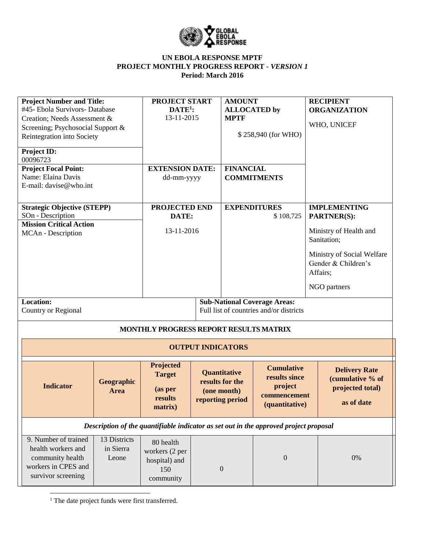

| <b>Project Number and Title:</b><br>#45- Ebola Survivors- Database<br>Creation; Needs Assessment &<br>Screening; Psychosocial Support &<br>Reintegration into Society<br><b>Project ID:</b><br>00096723<br><b>Project Focal Point:</b><br>Name: Elaina Davis<br>E-mail: davise@who.int |                                                                                | <b>PROJECT START</b><br>$DATA:$<br>13-11-2015<br><b>EXTENSION DATE:</b><br>dd-mm-yyyy |                          | <b>AMOUNT</b><br><b>ALLOCATED</b> by<br><b>MPTF</b><br><b>FINANCIAL</b> | \$258,940 (for WHO)<br><b>COMMITMENTS</b>                                       | <b>RECIPIENT</b><br><b>ORGANIZATION</b><br>WHO, UNICEF                                       |  |
|----------------------------------------------------------------------------------------------------------------------------------------------------------------------------------------------------------------------------------------------------------------------------------------|--------------------------------------------------------------------------------|---------------------------------------------------------------------------------------|--------------------------|-------------------------------------------------------------------------|---------------------------------------------------------------------------------|----------------------------------------------------------------------------------------------|--|
| <b>Strategic Objective (STEPP)</b><br>SOn - Description<br><b>Mission Critical Action</b><br>MCAn - Description                                                                                                                                                                        |                                                                                | PROJECTED END<br>DATE:<br>13-11-2016                                                  |                          | <b>EXPENDITURES</b><br>\$108,725                                        |                                                                                 | <b>IMPLEMENTING</b><br>PARTNER(S):<br>Ministry of Health and                                 |  |
|                                                                                                                                                                                                                                                                                        |                                                                                |                                                                                       |                          |                                                                         |                                                                                 | Sanitation;<br>Ministry of Social Welfare<br>Gender & Children's<br>Affairs;<br>NGO partners |  |
| <b>Location:</b><br>Country or Regional                                                                                                                                                                                                                                                | <b>Sub-National Coverage Areas:</b><br>Full list of countries and/or districts |                                                                                       |                          |                                                                         |                                                                                 |                                                                                              |  |
|                                                                                                                                                                                                                                                                                        |                                                                                | MONTHLY PROGRESS REPORT RESULTS MATRIX                                                |                          |                                                                         |                                                                                 |                                                                                              |  |
|                                                                                                                                                                                                                                                                                        |                                                                                |                                                                                       | <b>OUTPUT INDICATORS</b> |                                                                         |                                                                                 |                                                                                              |  |
| <b>Indicator</b>                                                                                                                                                                                                                                                                       | Geographic<br><b>Area</b>                                                      | Projected<br><b>Target</b><br>(as per<br>results<br>matrix)                           |                          | Quantitative<br>results for the<br>(one month)<br>reporting period      | <b>Cumulative</b><br>results since<br>project<br>commencement<br>(quantitative) | <b>Delivery Rate</b><br>(cumulative % of<br>projected total)<br>as of date                   |  |
| Description of the quantifiable indicator as set out in the approved project proposal                                                                                                                                                                                                  |                                                                                |                                                                                       |                          |                                                                         |                                                                                 |                                                                                              |  |
| 9. Number of trained<br>health workers and<br>community health<br>workers in CPES and<br>survivor screening                                                                                                                                                                            | 13 Districts<br>in Sierra<br>Leone                                             | 80 health<br>workers (2 per<br>hospital) and<br>150<br>community                      |                          | $\theta$                                                                | $\boldsymbol{0}$                                                                | 0%                                                                                           |  |

<sup>1</sup> The date project funds were first transferred.

 $\overline{\phantom{a}}$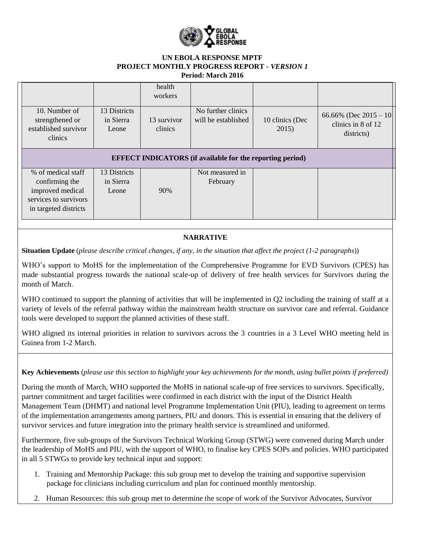

|                                                                                                            |                                    | health<br>workers      |                                           |                          |                                                               |  |  |  |  |
|------------------------------------------------------------------------------------------------------------|------------------------------------|------------------------|-------------------------------------------|--------------------------|---------------------------------------------------------------|--|--|--|--|
| 10. Number of<br>strengthened or<br>established survivor<br>clinics                                        | 13 Districts<br>in Sierra<br>Leone | 13 survivor<br>clinics | No further clinics<br>will be established | 10 clinics (Dec<br>2015) | 66.66% (Dec $2015 - 10$ )<br>clinics in 8 of 12<br>districts) |  |  |  |  |
| <b>EFFECT INDICATORS</b> (if available for the reporting period)                                           |                                    |                        |                                           |                          |                                                               |  |  |  |  |
| % of medical staff<br>confirming the<br>improved medical<br>services to survivors<br>in targeted districts | 13 Districts<br>in Sierra<br>Leone | 90%                    | Not measured in<br>February               |                          |                                                               |  |  |  |  |

# **NARRATIVE**

**Situation Update** (*please describe critical changes, if any, in the situation that affect the project (1-2 paragraphs*))

WHO's support to MoHS for the implementation of the Comprehensive Programme for EVD Survivors (CPES) has made substantial progress towards the national scale-up of delivery of free health services for Survivors during the month of March.

WHO continued to support the planning of activities that will be implemented in Q2 including the training of staff at a variety of levels of the referral pathway within the mainstream health structure on survivor care and referral. Guidance tools were developed to support the planned activities of these staff.

WHO aligned its internal priorities in relation to survivors across the 3 countries in a 3 Level WHO meeting held in Guinea from 1-2 March.

**Key Achievements** (*please use this section to highlight your key achievements for the month, using bullet points if preferred)* 

During the month of March, WHO supported the MoHS in national scale-up of free services to survivors. Specifically, partner commitment and target facilities were confirmed in each district with the input of the District Health Management Team (DHMT) and national level Programme Implementation Unit (PIU), leading to agreement on terms of the implementation arrangements among partners, PIU and donors. This is essential in ensuring that the delivery of survivor services and future integration into the primary health service is streamlined and uniformed.

Furthermore, five sub-groups of the Survivors Technical Working Group (STWG) were convened during March under the leadership of MoHS and PIU, with the support of WHO, to finalise key CPES SOPs and policies. WHO participated in all 5 STWGs to provide key technical input and support:

- 1. Training and Mentorship Package: this sub group met to develop the training and supportive supervision package for clinicians including curriculum and plan for continued monthly mentorship.
- 2. Human Resources: this sub group met to determine the scope of work of the Survivor Advocates, Survivor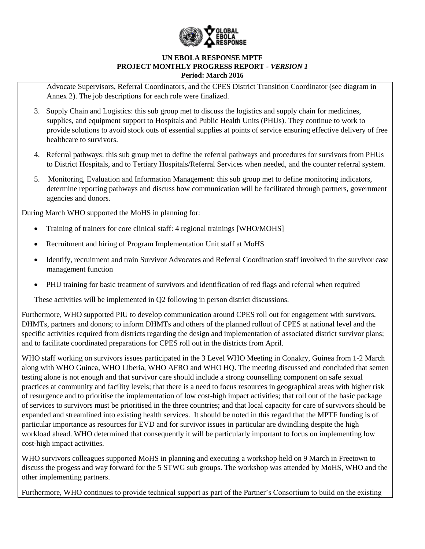

Advocate Supervisors, Referral Coordinators, and the CPES District Transition Coordinator (see diagram in Annex 2). The job descriptions for each role were finalized.

- 3. Supply Chain and Logistics: this sub group met to discuss the logistics and supply chain for medicines, supplies, and equipment support to Hospitals and Public Health Units (PHUs). They continue to work to provide solutions to avoid stock outs of essential supplies at points of service ensuring effective delivery of free healthcare to survivors.
- 4. Referral pathways: this sub group met to define the referral pathways and procedures for survivors from PHUs to District Hospitals, and to Tertiary Hospitals/Referral Services when needed, and the counter referral system.
- 5. Monitoring, Evaluation and Information Management: this sub group met to define monitoring indicators, determine reporting pathways and discuss how communication will be facilitated through partners, government agencies and donors.

During March WHO supported the MoHS in planning for:

- Training of trainers for core clinical staff: 4 regional trainings [WHO/MOHS]
- Recruitment and hiring of Program Implementation Unit staff at MoHS
- Identify, recruitment and train Survivor Advocates and Referral Coordination staff involved in the survivor case management function
- PHU training for basic treatment of survivors and identification of red flags and referral when required

These activities will be implemented in Q2 following in person district discussions.

Furthermore, WHO supported PIU to develop communication around CPES roll out for engagement with survivors, DHMTs, partners and donors; to inform DHMTs and others of the planned rollout of CPES at national level and the specific activities required from districts regarding the design and implementation of associated district survivor plans; and to facilitate coordinated preparations for CPES roll out in the districts from April.

WHO staff working on survivors issues participated in the 3 Level WHO Meeting in Conakry, Guinea from 1-2 March along with WHO Guinea, WHO Liberia, WHO AFRO and WHO HQ. The meeting discussed and concluded that semen testing alone is not enough and that survivor care should include a strong counselling component on safe sexual practices at community and facility levels; that there is a need to focus resources in geographical areas with higher risk of resurgence and to prioritise the implementation of low cost-high impact activities; that roll out of the basic package of services to survivors must be prioritised in the three countries; and that local capacity for care of survivors should be expanded and streamlined into existing health services. It should be noted in this regard that the MPTF funding is of particular importance as resources for EVD and for survivor issues in particular are dwindling despite the high workload ahead. WHO determined that consequently it will be particularly important to focus on implementing low cost-high impact activities.

WHO survivors colleagues supported MoHS in planning and executing a workshop held on 9 March in Freetown to discuss the progess and way forward for the 5 STWG sub groups. The workshop was attended by MoHS, WHO and the other implementing partners.

Furthermore, WHO continues to provide technical support as part of the Partner's Consortium to build on the existing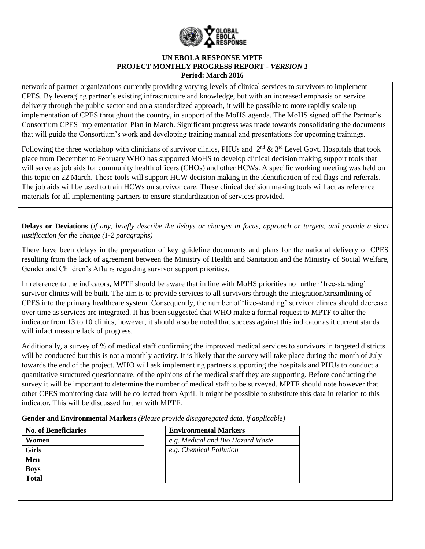

network of partner organizations currently providing varying levels of clinical services to survivors to implement CPES. By leveraging partner's existing infrastructure and knowledge, but with an increased emphasis on service delivery through the public sector and on a standardized approach, it will be possible to more rapidly scale up implementation of CPES throughout the country, in support of the MoHS agenda. The MoHS signed off the Partner's Consortium CPES Implementation Plan in March. Significant progress was made towards consolidating the documents that will guide the Consortium's work and developing training manual and presentations for upcoming trainings.

Following the three workshop with clinicians of survivor clinics, PHUs and  $2<sup>nd</sup>$  &  $3<sup>rd</sup>$  Level Govt. Hospitals that took place from December to February WHO has supported MoHS to develop clinical decision making support tools that will serve as job aids for community health officers (CHOs) and other HCWs. A specific working meeting was held on this topic on 22 March. These tools will support HCW decision making in the identification of red flags and referrals. The job aids will be used to train HCWs on survivor care. These clinical decision making tools will act as reference materials for all implementing partners to ensure standardization of services provided.

**Delays or Deviations** (*if any, briefly describe the delays or changes in focus, approach or targets, and provide a short justification for the change (1-2 paragraphs)*

There have been delays in the preparation of key guideline documents and plans for the national delivery of CPES resulting from the lack of agreement between the Ministry of Health and Sanitation and the Ministry of Social Welfare, Gender and Children's Affairs regarding survivor support priorities.

In reference to the indicators, MPTF should be aware that in line with MoHS priorities no further 'free-standing' survivor clinics will be built. The aim is to provide services to all survivors through the integration/streamlining of CPES into the primary healthcare system. Consequently, the number of 'free-standing' survivor clinics should decrease over time as services are integrated. It has been suggested that WHO make a formal request to MPTF to alter the indicator from 13 to 10 clinics, however, it should also be noted that success against this indicator as it current stands will infact measure lack of progress.

Additionally, a survey of % of medical staff confirming the improved medical services to survivors in targeted districts will be conducted but this is not a monthly activity. It is likely that the survey will take place during the month of July towards the end of the project. WHO will ask implementing partners supporting the hospitals and PHUs to conduct a quantitative structured questionnaire, of the opinions of the medical staff they are supporting. Before conducting the survey it will be important to determine the number of medical staff to be surveyed. MPTF should note however that other CPES monitoring data will be collected from April. It might be possible to substitute this data in relation to this indicator. This will be discussed further with MPTF.

**Gender and Environmental Markers** *(Please provide disaggregated data, if applicable)*

| <b>No. of Beneficiaries</b> | <b>Environmental Markers</b>      |
|-----------------------------|-----------------------------------|
| Women                       | e.g. Medical and Bio Hazard Waste |
| <b>Girls</b>                | e.g. Chemical Pollution           |
| Men                         |                                   |
| <b>Boys</b>                 |                                   |
| <b>Total</b>                |                                   |